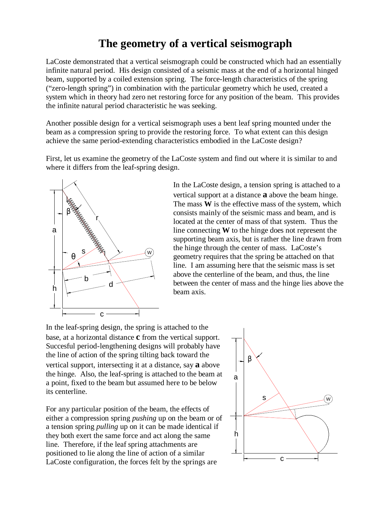## **The geometry of a vertical seismograph**

LaCoste demonstrated that a vertical seismograph could be constructed which had an essentially infinite natural period. His design consisted of a seismic mass at the end of a horizontal hinged beam, supported by a coiled extension spring. The force-length characteristics of the spring ("zero-length spring") in combination with the particular geometry which he used, created a system which in theory had zero net restoring force for any position of the beam. This provides the infinite natural period characteristic he was seeking.

Another possible design for a vertical seismograph uses a bent leaf spring mounted under the beam as a compression spring to provide the restoring force. To what extent can this design achieve the same period-extending characteristics embodied in the LaCoste design?

First, let us examine the geometry of the LaCoste system and find out where it is similar to and where it differs from the leaf-spring design.



In the LaCoste design, a tension spring is attached to a vertical support at a distance **a** above the beam hinge. The mass **W** is the effective mass of the system, which consists mainly of the seismic mass and beam, and is located at the center of mass of that system. Thus the line connecting **W** to the hinge does not represent the supporting beam axis, but is rather the line drawn from the hinge through the center of mass. LaCoste's geometry requires that the spring be attached on that line. I am assuming here that the seismic mass is set above the centerline of the beam, and thus, the line between the center of mass and the hinge lies above the beam axis.

In the leaf-spring design, the spring is attached to the base, at a horizontal distance **c** from the vertical support. Succesful period-lengthening designs will probably have the line of action of the spring tilting back toward the vertical support, intersecting it at a distance, say **a** above the hinge. Also, the leaf-spring is attached to the beam at a point, fixed to the beam but assumed here to be below its centerline.

For any particular position of the beam, the effects of either a compression spring *pushing* up on the beam or of a tension spring *pulling* up on it can be made identical if they both exert the same force and act along the same line. Therefore, if the leaf spring attachments are positioned to lie along the line of action of a similar LaCoste configuration, the forces felt by the springs are

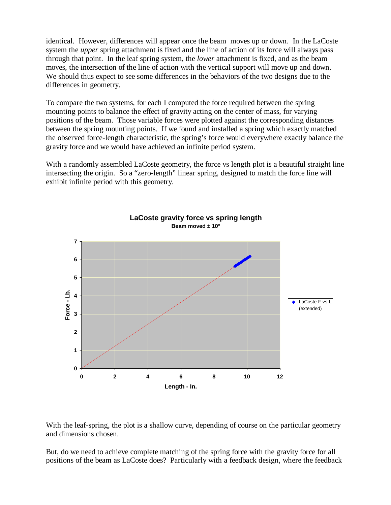identical. However, differences will appear once the beam moves up or down. In the LaCoste system the *upper* spring attachment is fixed and the line of action of its force will always pass through that point. In the leaf spring system, the *lower* attachment is fixed, and as the beam moves, the intersection of the line of action with the vertical support will move up and down. We should thus expect to see some differences in the behaviors of the two designs due to the differences in geometry.

To compare the two systems, for each I computed the force required between the spring mounting points to balance the effect of gravity acting on the center of mass, for varying positions of the beam. Those variable forces were plotted against the corresponding distances between the spring mounting points. If we found and installed a spring which exactly matched the observed force-length characteristic, the spring's force would everywhere exactly balance the gravity force and we would have achieved an infinite period system.

With a randomly assembled LaCoste geometry, the force vs length plot is a beautiful straight line intersecting the origin. So a "zero-length" linear spring, designed to match the force line will exhibit infinite period with this geometry.



With the leaf-spring, the plot is a shallow curve, depending of course on the particular geometry and dimensions chosen.

But, do we need to achieve complete matching of the spring force with the gravity force for all positions of the beam as LaCoste does? Particularly with a feedback design, where the feedback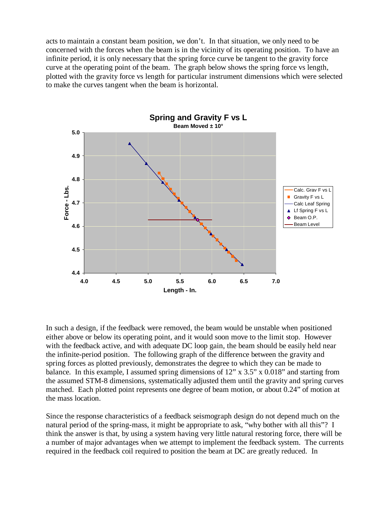acts to maintain a constant beam position, we don't. In that situation, we only need to be concerned with the forces when the beam is in the vicinity of its operating position. To have an infinite period, it is only necessary that the spring force curve be tangent to the gravity force curve at the operating point of the beam. The graph below shows the spring force vs length, plotted with the gravity force vs length for particular instrument dimensions which were selected to make the curves tangent when the beam is horizontal.



In such a design, if the feedback were removed, the beam would be unstable when positioned either above or below its operating point, and it would soon move to the limit stop. However with the feedback active, and with adequate DC loop gain, the beam should be easily held near the infinite-period position. The following graph of the difference between the gravity and spring forces as plotted previously, demonstrates the degree to which they can be made to balance. In this example, I assumed spring dimensions of 12" x 3.5" x 0.018" and starting from the assumed STM-8 dimensions, systematically adjusted them until the gravity and spring curves matched. Each plotted point represents one degree of beam motion, or about 0.24" of motion at the mass location.

Since the response characteristics of a feedback seismograph design do not depend much on the natural period of the spring-mass, it might be appropriate to ask, "why bother with all this"? I think the answer is that, by using a system having very little natural restoring force, there will be a number of major advantages when we attempt to implement the feedback system. The currents required in the feedback coil required to position the beam at DC are greatly reduced. In